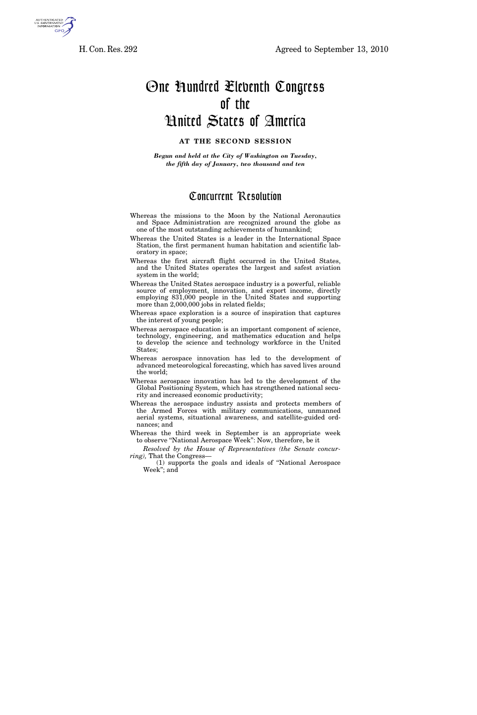

## One Hundred Eleventh Congress of the United States of America

## **AT THE SECOND SESSION**

*Begun and held at the City of Washington on Tuesday, the fifth day of January, two thousand and ten* 

## Concurrent Resolution

- Whereas the missions to the Moon by the National Aeronautics and Space Administration are recognized around the globe as one of the most outstanding achievements of humankind;
- Whereas the United States is a leader in the International Space Station, the first permanent human habitation and scientific laboratory in space;
- Whereas the first aircraft flight occurred in the United States, and the United States operates the largest and safest aviation system in the world;
- Whereas the United States aerospace industry is a powerful, reliable source of employment, innovation, and export income, directly employing 831,000 people in the United States and supporting more than 2,000,000 jobs in related fields;
- Whereas space exploration is a source of inspiration that captures the interest of young people;
- Whereas aerospace education is an important component of science, technology, engineering, and mathematics education and helps to develop the science and technology workforce in the United States;
- Whereas aerospace innovation has led to the development of advanced meteorological forecasting, which has saved lives around the world;
- Whereas aerospace innovation has led to the development of the Global Positioning System, which has strengthened national security and increased economic productivity;
- Whereas the aerospace industry assists and protects members of the Armed Forces with military communications, unmanned aerial systems, situational awareness, and satellite-guided ordnances; and
- Whereas the third week in September is an appropriate week to observe "National Aerospace Week": Now, therefore, be it
- *Resolved by the House of Representatives (the Senate concurring),* That the Congress—
	- (1) supports the goals and ideals of ''National Aerospace Week''; and